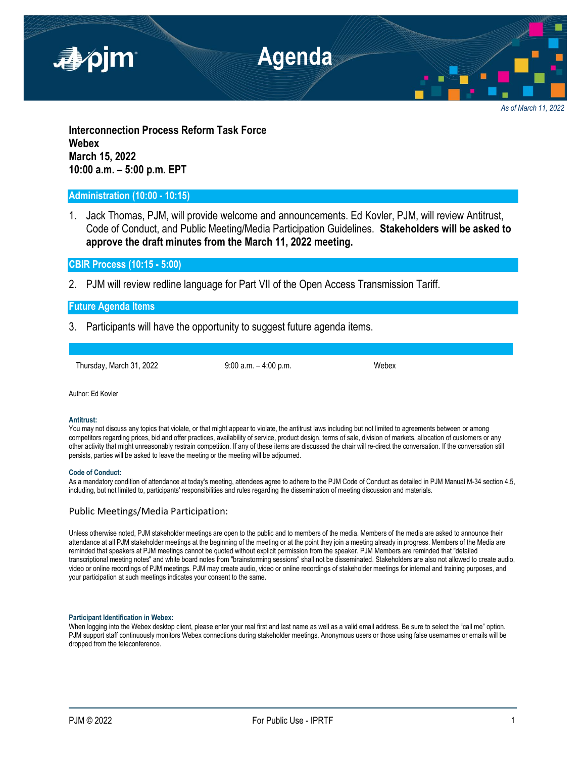

*As of March 11, 2022*

**Interconnection Process Reform Task Force Webex March 15, 2022 10:00 a.m. – 5:00 p.m. EPT**

# **Administration (10:00 - 10:15)**

1. Jack Thomas, PJM, will provide welcome and announcements. Ed Kovler, PJM, will review Antitrust, Code of Conduct, and Public Meeting/Media Participation Guidelines. **Stakeholders will be asked to approve the draft minutes from the March 11, 2022 meeting.**

**CBIR Process (10:15 - 5:00)**

2. PJM will review redline language for Part VII of the Open Access Transmission Tariff.

## **Future Agenda Items**

3. Participants will have the opportunity to suggest future agenda items.

Thursday, March 31, 2022 9:00 a.m. – 4:00 p.m. Webex

Author: Ed Kovler

### **Antitrust:**

You may not discuss any topics that violate, or that might appear to violate, the antitrust laws including but not limited to agreements between or among competitors regarding prices, bid and offer practices, availability of service, product design, terms of sale, division of markets, allocation of customers or any other activity that might unreasonably restrain competition. If any of these items are discussed the chair will re-direct the conversation. If the conversation still persists, parties will be asked to leave the meeting or the meeting will be adjourned.

#### **Code of Conduct:**

As a mandatory condition of attendance at today's meeting, attendees agree to adhere to the PJM Code of Conduct as detailed in PJM Manual M-34 section 4.5, including, but not limited to, participants' responsibilities and rules regarding the dissemination of meeting discussion and materials.

### Public Meetings/Media Participation:

Unless otherwise noted, PJM stakeholder meetings are open to the public and to members of the media. Members of the media are asked to announce their attendance at all PJM stakeholder meetings at the beginning of the meeting or at the point they join a meeting already in progress. Members of the Media are reminded that speakers at PJM meetings cannot be quoted without explicit permission from the speaker. PJM Members are reminded that "detailed transcriptional meeting notes" and white board notes from "brainstorming sessions" shall not be disseminated. Stakeholders are also not allowed to create audio, video or online recordings of PJM meetings. PJM may create audio, video or online recordings of stakeholder meetings for internal and training purposes, and your participation at such meetings indicates your consent to the same.

#### **Participant Identification in Webex:**

When logging into the Webex desktop client, please enter your real first and last name as well as a valid email address. Be sure to select the "call me" option. PJM support staff continuously monitors Webex connections during stakeholder meetings. Anonymous users or those using false usernames or emails will be dropped from the teleconference.